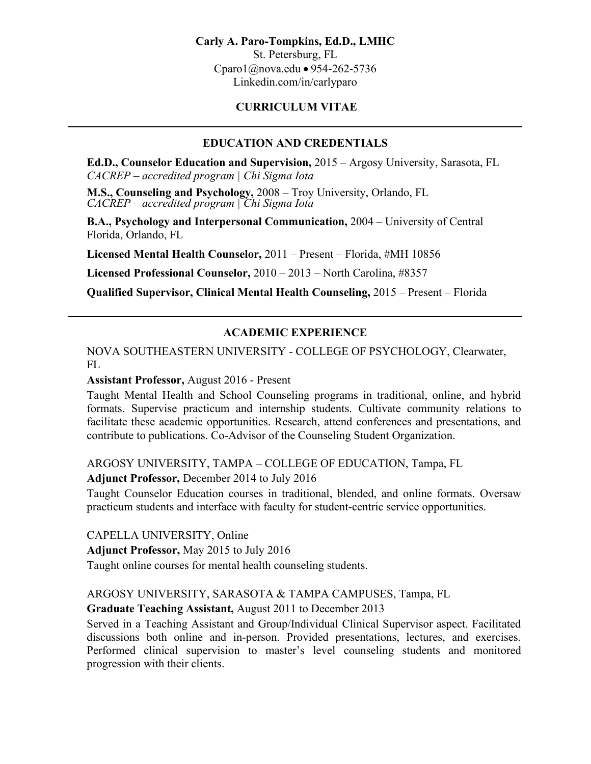#### **Carly A. Paro-Tompkins, Ed.D., LMHC**

St. Petersburg, FL Cparo1@nova.edu • 954-262-5736 Linkedin.com/in/carlyparo

## **CURRICULUM VITAE**

## **EDUCATION AND CREDENTIALS**

**Ed.D., Counselor Education and Supervision,** 2015 – Argosy University, Sarasota, FL *CACREP – accredited program | Chi Sigma Iota*

**M.S., Counseling and Psychology,** 2008 – Troy University, Orlando, FL *CACREP – accredited program | Chi Sigma Iota*

**B.A., Psychology and Interpersonal Communication,** 2004 – University of Central Florida, Orlando, FL

**Licensed Mental Health Counselor,** 2011 – Present – Florida, #MH 10856

**Licensed Professional Counselor,** 2010 – 2013 – North Carolina, #8357

**Qualified Supervisor, Clinical Mental Health Counseling,** 2015 – Present – Florida

## **ACADEMIC EXPERIENCE**

NOVA SOUTHEASTERN UNIVERSITY - COLLEGE OF PSYCHOLOGY, Clearwater, FL

#### **Assistant Professor,** August 2016 - Present

Taught Mental Health and School Counseling programs in traditional, online, and hybrid formats. Supervise practicum and internship students. Cultivate community relations to facilitate these academic opportunities. Research, attend conferences and presentations, and contribute to publications. Co-Advisor of the Counseling Student Organization.

## ARGOSY UNIVERSITY, TAMPA – COLLEGE OF EDUCATION, Tampa, FL

#### **Adjunct Professor,** December 2014 to July 2016

Taught Counselor Education courses in traditional, blended, and online formats. Oversaw practicum students and interface with faculty for student-centric service opportunities.

CAPELLA UNIVERSITY, Online

**Adjunct Professor,** May 2015 to July 2016

Taught online courses for mental health counseling students.

## ARGOSY UNIVERSITY, SARASOTA & TAMPA CAMPUSES, Tampa, FL

## **Graduate Teaching Assistant,** August 2011 to December 2013

Served in a Teaching Assistant and Group/Individual Clinical Supervisor aspect. Facilitated discussions both online and in-person. Provided presentations, lectures, and exercises. Performed clinical supervision to master's level counseling students and monitored progression with their clients.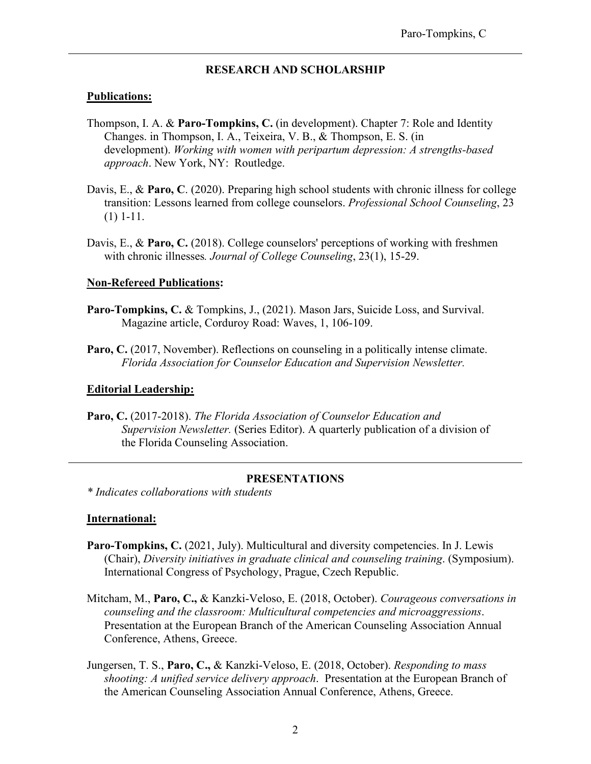#### **RESEARCH AND SCHOLARSHIP**

#### **Publications:**

- Thompson, I. A. & **Paro-Tompkins, C.** (in development). Chapter 7: Role and Identity Changes. in Thompson, I. A., Teixeira, V. B., & Thompson, E. S. (in development). *Working with women with peripartum depression: A strengths-based approach*. New York, NY: Routledge.
- Davis, E., & **Paro, C**. (2020). Preparing high school students with chronic illness for college transition: Lessons learned from college counselors. *Professional School Counseling*, 23 (1) 1-11.
- Davis, E., & **Paro, C.** (2018). College counselors' perceptions of working with freshmen with chronic illnesses*. Journal of College Counseling*, 23(1), 15-29.

#### **Non-Refereed Publications:**

- Paro-Tompkins, C. & Tompkins, J., (2021). Mason Jars, Suicide Loss, and Survival. Magazine article, Corduroy Road: Waves, 1, 106-109.
- Paro, C. (2017, November). Reflections on counseling in a politically intense climate. *Florida Association for Counselor Education and Supervision Newsletter.*

#### **Editorial Leadership:**

**Paro, C.** (2017-2018). *The Florida Association of Counselor Education and Supervision Newsletter.* (Series Editor). A quarterly publication of a division of the Florida Counseling Association.

#### **PRESENTATIONS**

*\* Indicates collaborations with students*

#### **International:**

- **Paro-Tompkins, C.** (2021, July). Multicultural and diversity competencies. In J. Lewis (Chair), *Diversity initiatives in graduate clinical and counseling training*. (Symposium). International Congress of Psychology, Prague, Czech Republic.
- Mitcham, M., **Paro, C.,** & Kanzki-Veloso, E. (2018, October). *Courageous conversations in counseling and the classroom: Multicultural competencies and microaggressions*. Presentation at the European Branch of the American Counseling Association Annual Conference, Athens, Greece.
- Jungersen, T. S., **Paro, C.,** & Kanzki-Veloso, E. (2018, October). *Responding to mass shooting: A unified service delivery approach*. Presentation at the European Branch of the American Counseling Association Annual Conference, Athens, Greece.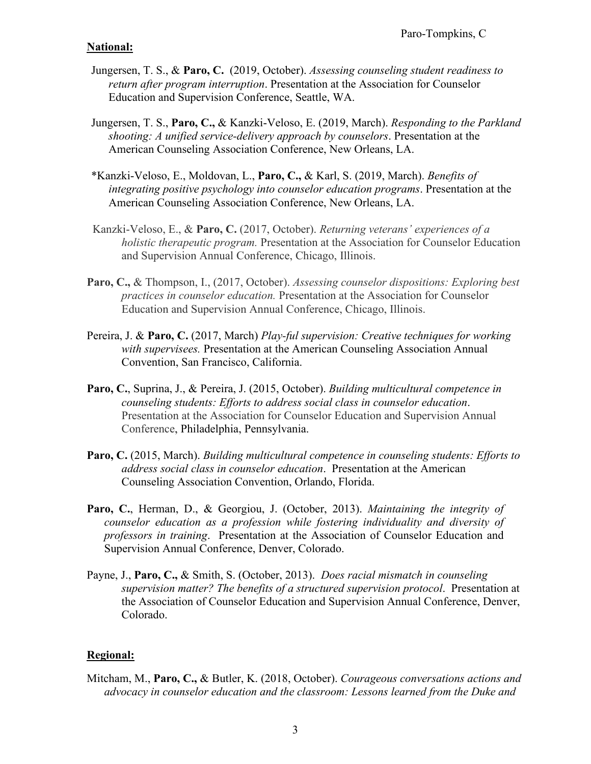## **National:**

- Jungersen, T. S., & **Paro, C.** (2019, October). *Assessing counseling student readiness to return after program interruption*. Presentation at the Association for Counselor Education and Supervision Conference, Seattle, WA.
- Jungersen, T. S., **Paro, C.,** & Kanzki-Veloso, E. (2019, March). *Responding to the Parkland shooting: A unified service-delivery approach by counselors*. Presentation at the American Counseling Association Conference, New Orleans, LA.
- \*Kanzki-Veloso, E., Moldovan, L., **Paro, C.,** & Karl, S. (2019, March). *Benefits of integrating positive psychology into counselor education programs*. Presentation at the American Counseling Association Conference, New Orleans, LA.
- Kanzki-Veloso, E., & **Paro, C.** (2017, October). *Returning veterans' experiences of a holistic therapeutic program.* Presentation at the Association for Counselor Education and Supervision Annual Conference, Chicago, Illinois.
- **Paro, C.,** & Thompson, I., (2017, October). *Assessing counselor dispositions: Exploring best practices in counselor education.* Presentation at the Association for Counselor Education and Supervision Annual Conference, Chicago, Illinois.
- Pereira, J. & **Paro, C.** (2017, March) *Play-ful supervision: Creative techniques for working with supervisees.* Presentation at the American Counseling Association Annual Convention, San Francisco, California.
- **Paro, C.**, Suprina, J., & Pereira, J. (2015, October). *Building multicultural competence in counseling students: Efforts to address social class in counselor education*. Presentation at the Association for Counselor Education and Supervision Annual Conference, Philadelphia, Pennsylvania.
- **Paro, C.** (2015, March). *Building multicultural competence in counseling students: Efforts to address social class in counselor education*. Presentation at the American Counseling Association Convention, Orlando, Florida.
- **Paro, C.**, Herman, D., & Georgiou, J. (October, 2013). *Maintaining the integrity of counselor education as a profession while fostering individuality and diversity of professors in training*. Presentation at the Association of Counselor Education and Supervision Annual Conference, Denver, Colorado.
- Payne, J., **Paro, C.,** & Smith, S. (October, 2013). *Does racial mismatch in counseling supervision matter? The benefits of a structured supervision protocol*. Presentation at the Association of Counselor Education and Supervision Annual Conference, Denver, Colorado.

## **Regional:**

Mitcham, M., **Paro, C.,** & Butler, K. (2018, October). *Courageous conversations actions and advocacy in counselor education and the classroom: Lessons learned from the Duke and*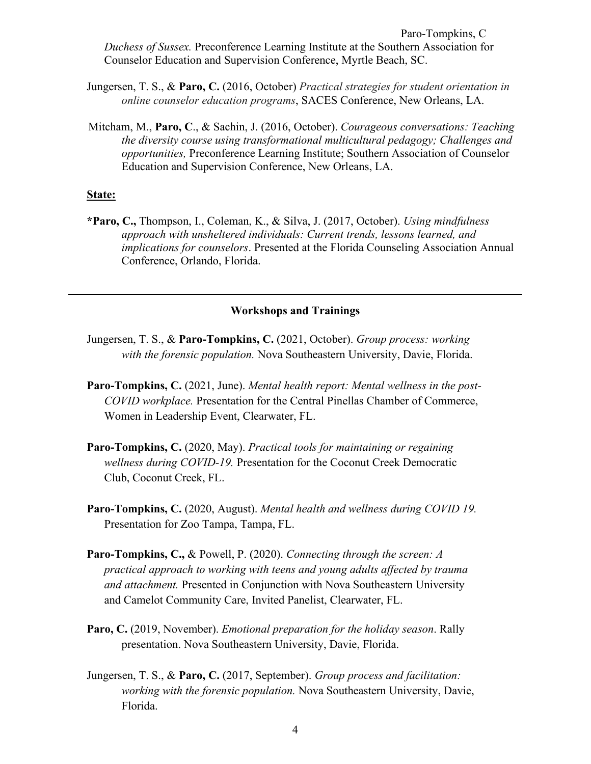Paro-Tompkins, C *Duchess of Sussex.* Preconference Learning Institute at the Southern Association for Counselor Education and Supervision Conference, Myrtle Beach, SC.

- Jungersen, T. S., & **Paro, C.** (2016, October) *Practical strategies for student orientation in online counselor education programs*, SACES Conference, New Orleans, LA.
- Mitcham, M., **Paro, C**., & Sachin, J. (2016, October). *Courageous conversations: Teaching the diversity course using transformational multicultural pedagogy; Challenges and opportunities,* Preconference Learning Institute; Southern Association of Counselor Education and Supervision Conference, New Orleans, LA.

#### **State:**

**\*Paro, C.,** Thompson, I., Coleman, K., & Silva, J. (2017, October). *Using mindfulness approach with unsheltered individuals: Current trends, lessons learned, and implications for counselors*. Presented at the Florida Counseling Association Annual Conference, Orlando, Florida.

#### **Workshops and Trainings**

- Jungersen, T. S., & **Paro-Tompkins, C.** (2021, October). *Group process: working with the forensic population.* Nova Southeastern University, Davie, Florida.
- **Paro-Tompkins, C.** (2021, June). *Mental health report: Mental wellness in the post-COVID workplace.* Presentation for the Central Pinellas Chamber of Commerce, Women in Leadership Event, Clearwater, FL.
- **Paro-Tompkins, C.** (2020, May). *Practical tools for maintaining or regaining wellness during COVID-19.* Presentation for the Coconut Creek Democratic Club, Coconut Creek, FL.
- **Paro-Tompkins, C.** (2020, August). *Mental health and wellness during COVID 19.*  Presentation for Zoo Tampa, Tampa, FL.
- **Paro-Tompkins, C.,** & Powell, P. (2020). *Connecting through the screen: A practical approach to working with teens and young adults affected by trauma and attachment.* Presented in Conjunction with Nova Southeastern University and Camelot Community Care, Invited Panelist, Clearwater, FL.
- **Paro, C.** (2019, November). *Emotional preparation for the holiday season*. Rally presentation. Nova Southeastern University, Davie, Florida.
- Jungersen, T. S., & **Paro, C.** (2017, September). *Group process and facilitation: working with the forensic population.* Nova Southeastern University, Davie, Florida.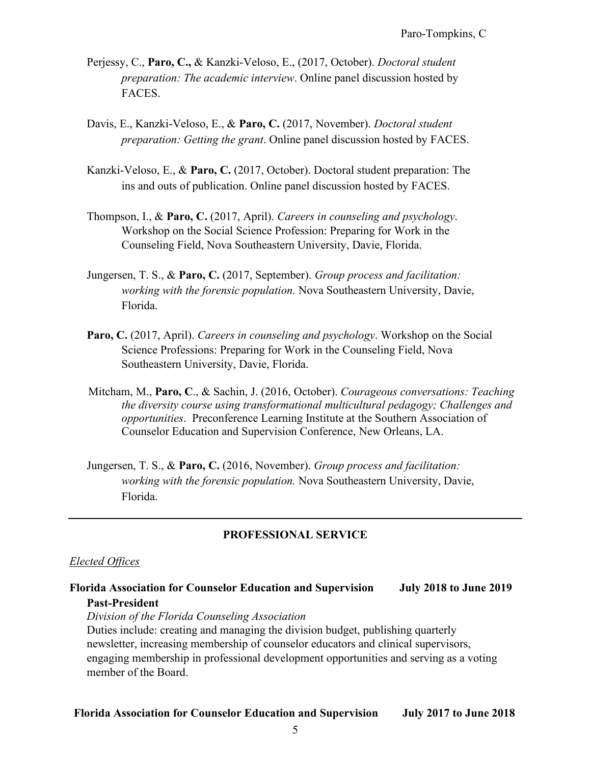- Perjessy, C., **Paro, C.,** & Kanzki-Veloso, E., (2017, October). *Doctoral student preparation: The academic interview*. Online panel discussion hosted by FACES.
- Davis, E., Kanzki-Veloso, E., & **Paro, C.** (2017, November). *Doctoral student preparation: Getting the grant*. Online panel discussion hosted by FACES.
- Kanzki-Veloso, E., & **Paro, C.** (2017, October). Doctoral student preparation: The ins and outs of publication. Online panel discussion hosted by FACES.
- Thompson, I., & **Paro, C.** (2017, April). *Careers in counseling and psychology*. Workshop on the Social Science Profession: Preparing for Work in the Counseling Field, Nova Southeastern University, Davie, Florida.
- Jungersen, T. S., & **Paro, C.** (2017, September). *Group process and facilitation: working with the forensic population.* Nova Southeastern University, Davie, Florida.
- **Paro, C.** (2017, April). *Careers in counseling and psychology*. Workshop on the Social Science Professions: Preparing for Work in the Counseling Field, Nova Southeastern University, Davie, Florida.
- Mitcham, M., **Paro, C**., & Sachin, J. (2016, October). *Courageous conversations: Teaching the diversity course using transformational multicultural pedagogy; Challenges and opportunities*. Preconference Learning Institute at the Southern Association of Counselor Education and Supervision Conference, New Orleans, LA.
- Jungersen, T. S., & **Paro, C.** (2016, November). *Group process and facilitation: working with the forensic population.* Nova Southeastern University, Davie, Florida.

## **PROFESSIONAL SERVICE**

#### *Elected Offices*

**Florida Association for Counselor Education and Supervision July 2018 to June 2019 Past-President** *Division of the Florida Counseling Association*

Duties include: creating and managing the division budget, publishing quarterly newsletter, increasing membership of counselor educators and clinical supervisors, engaging membership in professional development opportunities and serving as a voting member of the Board.

#### **Florida Association for Counselor Education and Supervision July 2017 to June 2018**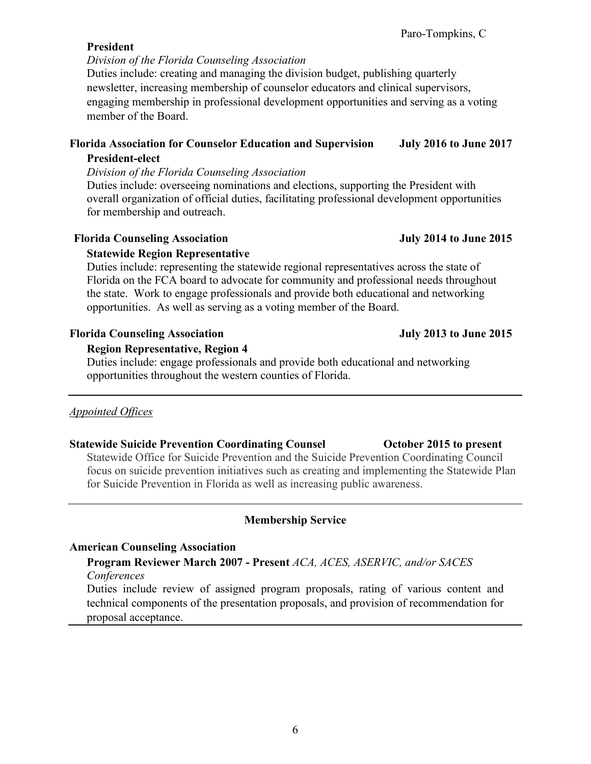6

## **President**

## *Division of the Florida Counseling Association*

Duties include: creating and managing the division budget, publishing quarterly newsletter, increasing membership of counselor educators and clinical supervisors, engaging membership in professional development opportunities and serving as a voting member of the Board.

## **Florida Association for Counselor Education and Supervision July 2016 to June 2017 President-elect**

## *Division of the Florida Counseling Association*

Duties include: overseeing nominations and elections, supporting the President with overall organization of official duties, facilitating professional development opportunities for membership and outreach.

## Florida Counseling Association **July 2014 to June 2015**

## **Statewide Region Representative**

Duties include: representing the statewide regional representatives across the state of Florida on the FCA board to advocate for community and professional needs throughout the state. Work to engage professionals and provide both educational and networking opportunities. As well as serving as a voting member of the Board.

## Florida Counseling Association **July 2013** to June 2015

## **Region Representative, Region 4**

Duties include: engage professionals and provide both educational and networking opportunities throughout the western counties of Florida.

## *Appointed Offices*

## **Statewide Suicide Prevention Coordinating Counsel October 2015 to present**

Statewide Office for Suicide Prevention and the Suicide Prevention Coordinating Council focus on suicide prevention initiatives such as creating and implementing the Statewide Plan for Suicide Prevention in Florida as well as increasing public awareness.

## **Membership Service**

## **American Counseling Association**

## **Program Reviewer March 2007 - Present** *ACA, ACES, ASERVIC, and/or SACES Conferences*

Duties include review of assigned program proposals, rating of various content and technical components of the presentation proposals, and provision of recommendation for proposal acceptance.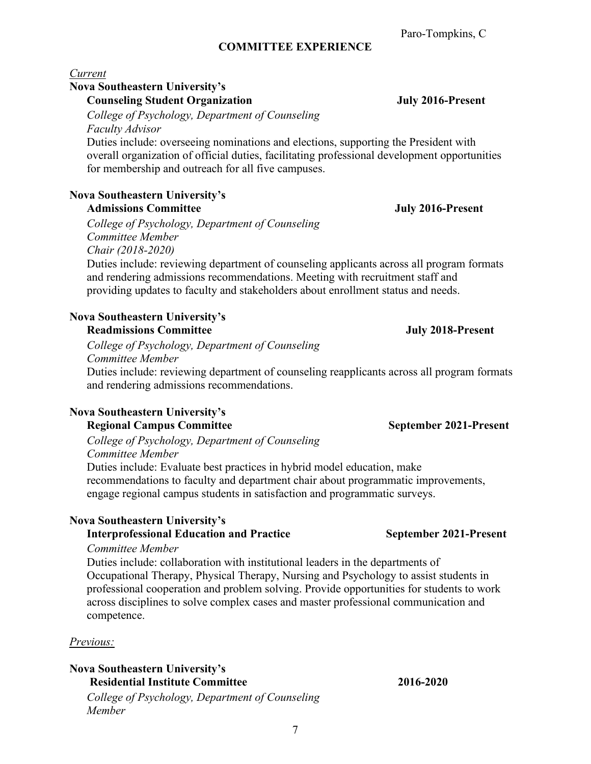## **COMMITTEE EXPERIENCE**

## *Current*

#### **Nova Southeastern University's**

**Counseling Student Organization July 2016-Present** 

*College of Psychology, Department of Counseling Faculty Advisor* 

Duties include: overseeing nominations and elections, supporting the President with overall organization of official duties, facilitating professional development opportunities for membership and outreach for all five campuses.

#### **Nova Southeastern University's Admissions Committee July 2016-Present**

*College of Psychology, Department of Counseling Committee Member Chair (2018-2020)* 

 Duties include: reviewing department of counseling applicants across all program formats and rendering admissions recommendations. Meeting with recruitment staff and providing updates to faculty and stakeholders about enrollment status and needs.

# **Nova Southeastern University's**

 **Readmissions Committee July 2018-Present**

*College of Psychology, Department of Counseling Committee Member* 

 Duties include: reviewing department of counseling reapplicants across all program formats and rendering admissions recommendations.

## **Nova Southeastern University's**

#### **Regional Campus Committee September 2021-Present**

*College of Psychology, Department of Counseling Committee Member*  Duties include: Evaluate best practices in hybrid model education, make recommendations to faculty and department chair about programmatic improvements, engage regional campus students in satisfaction and programmatic surveys.

## **Nova Southeastern University's**

## **Interprofessional Education and Practice September 2021-Present**

#### *Committee Member*

Duties include: collaboration with institutional leaders in the departments of Occupational Therapy, Physical Therapy, Nursing and Psychology to assist students in professional cooperation and problem solving. Provide opportunities for students to work across disciplines to solve complex cases and master professional communication and competence.

## *Previous:*

## **Nova Southeastern University's**

**Residential Institute Committee 2016-2020** *College of Psychology, Department of Counseling Member*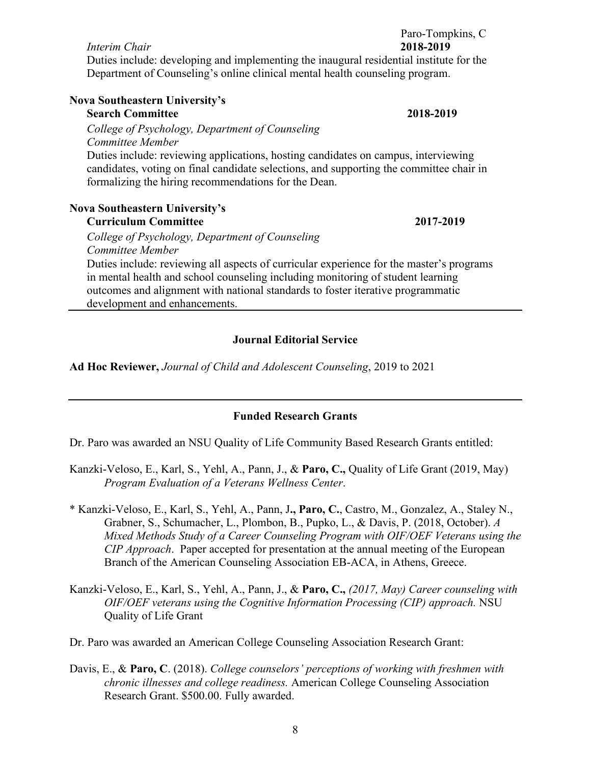*Interim Chair* **2018-2019** Duties include: developing and implementing the inaugural residential institute for the Department of Counseling's online clinical mental health counseling program.

| <b>Nova Southeastern University's</b>                                                                                                                                                                                                 |           |
|---------------------------------------------------------------------------------------------------------------------------------------------------------------------------------------------------------------------------------------|-----------|
| <b>Search Committee</b>                                                                                                                                                                                                               | 2018-2019 |
| College of Psychology, Department of Counseling                                                                                                                                                                                       |           |
| Committee Member                                                                                                                                                                                                                      |           |
| Duties include: reviewing applications, hosting candidates on campus, interviewing<br>candidates, voting on final candidate selections, and supporting the committee chair in<br>formalizing the hiring recommendations for the Dean. |           |
|                                                                                                                                                                                                                                       |           |

## **Nova Southeastern University's**

#### **Curriculum Committee 2017-2019**

*College of Psychology, Department of Counseling Committee Member* 

Duties include: reviewing all aspects of curricular experience for the master's programs in mental health and school counseling including monitoring of student learning outcomes and alignment with national standards to foster iterative programmatic development and enhancements.

## **Journal Editorial Service**

**Ad Hoc Reviewer,** *Journal of Child and Adolescent Counseling*, 2019 to 2021

## **Funded Research Grants**

Dr. Paro was awarded an NSU Quality of Life Community Based Research Grants entitled:

- Kanzki-Veloso, E., Karl, S., Yehl, A., Pann, J., & **Paro, C.,** Quality of Life Grant (2019, May) *Program Evaluation of a Veterans Wellness Center*.
- \* Kanzki-Veloso, E., Karl, S., Yehl, A., Pann, J**., Paro, C.**, Castro, M., Gonzalez, A., Staley N., Grabner, S., Schumacher, L., Plombon, B., Pupko, L., & Davis, P. (2018, October). *A Mixed Methods Study of a Career Counseling Program with OIF/OEF Veterans using the CIP Approach*. Paper accepted for presentation at the annual meeting of the European Branch of the American Counseling Association EB-ACA, in Athens, Greece.
- Kanzki-Veloso, E., Karl, S., Yehl, A., Pann, J., & **Paro, C.,** *(2017, May) Career counseling with OIF/OEF veterans using the Cognitive Information Processing (CIP) approach.* NSU Quality of Life Grant

Dr. Paro was awarded an American College Counseling Association Research Grant:

Davis, E., & **Paro, C**. (2018). *College counselors' perceptions of working with freshmen with chronic illnesses and college readiness.* American College Counseling Association Research Grant. \$500.00. Fully awarded.

Paro-Tompkins, C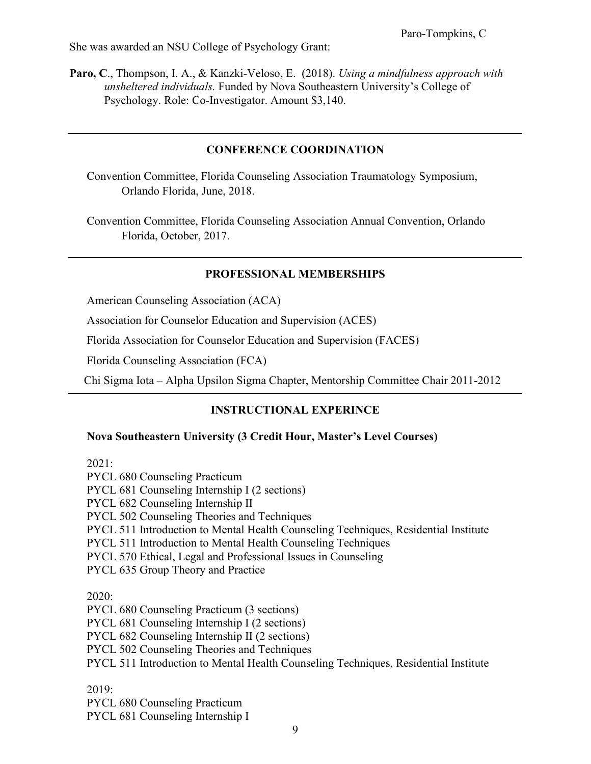She was awarded an NSU College of Psychology Grant:

**Paro, C**., Thompson, I. A., & Kanzki-Veloso, E. (2018). *Using a mindfulness approach with unsheltered individuals.* Funded by Nova Southeastern University's College of Psychology. Role: Co-Investigator. Amount \$3,140.

#### **CONFERENCE COORDINATION**

Convention Committee, Florida Counseling Association Traumatology Symposium, Orlando Florida, June, 2018.

Convention Committee, Florida Counseling Association Annual Convention, Orlando Florida, October, 2017.

#### **PROFESSIONAL MEMBERSHIPS**

American Counseling Association (ACA)

Association for Counselor Education and Supervision (ACES)

Florida Association for Counselor Education and Supervision (FACES)

Florida Counseling Association (FCA)

Chi Sigma Iota – Alpha Upsilon Sigma Chapter, Mentorship Committee Chair 2011-2012

## **INSTRUCTIONAL EXPERINCE**

#### **Nova Southeastern University (3 Credit Hour, Master's Level Courses)**

2021:

PYCL 680 Counseling Practicum PYCL 681 Counseling Internship I (2 sections) PYCL 682 Counseling Internship II PYCL 502 Counseling Theories and Techniques PYCL 511 Introduction to Mental Health Counseling Techniques, Residential Institute PYCL 511 Introduction to Mental Health Counseling Techniques PYCL 570 Ethical, Legal and Professional Issues in Counseling PYCL 635 Group Theory and Practice 2020: PYCL 680 Counseling Practicum (3 sections) PYCL 681 Counseling Internship I (2 sections) PYCL 682 Counseling Internship II (2 sections) PYCL 502 Counseling Theories and Techniques PYCL 511 Introduction to Mental Health Counseling Techniques, Residential Institute 2019:

PYCL 680 Counseling Practicum PYCL 681 Counseling Internship I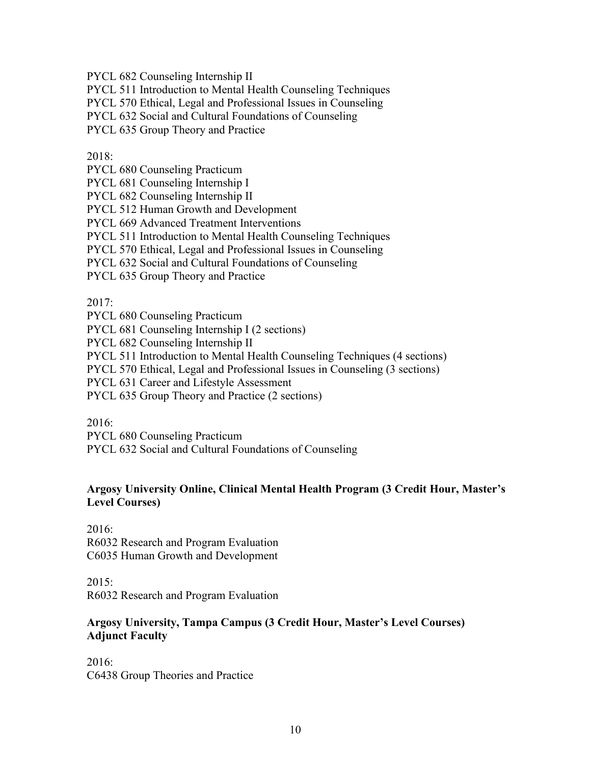PYCL 682 Counseling Internship II

PYCL 511 Introduction to Mental Health Counseling Techniques

PYCL 570 Ethical, Legal and Professional Issues in Counseling

PYCL 632 Social and Cultural Foundations of Counseling

PYCL 635 Group Theory and Practice

2018:

PYCL 680 Counseling Practicum

PYCL 681 Counseling Internship I

PYCL 682 Counseling Internship II

PYCL 512 Human Growth and Development

PYCL 669 Advanced Treatment Interventions

PYCL 511 Introduction to Mental Health Counseling Techniques

PYCL 570 Ethical, Legal and Professional Issues in Counseling

PYCL 632 Social and Cultural Foundations of Counseling

PYCL 635 Group Theory and Practice

2017:

PYCL 680 Counseling Practicum

PYCL 681 Counseling Internship I (2 sections)

PYCL 682 Counseling Internship II

PYCL 511 Introduction to Mental Health Counseling Techniques (4 sections)

PYCL 570 Ethical, Legal and Professional Issues in Counseling (3 sections)

PYCL 631 Career and Lifestyle Assessment

PYCL 635 Group Theory and Practice (2 sections)

2016:

PYCL 680 Counseling Practicum

PYCL 632 Social and Cultural Foundations of Counseling

## **Argosy University Online, Clinical Mental Health Program (3 Credit Hour, Master's Level Courses)**

2016: R6032 Research and Program Evaluation C6035 Human Growth and Development

 $2015:$ 

R6032 Research and Program Evaluation

#### **Argosy University, Tampa Campus (3 Credit Hour, Master's Level Courses) Adjunct Faculty**

2016: C6438 Group Theories and Practice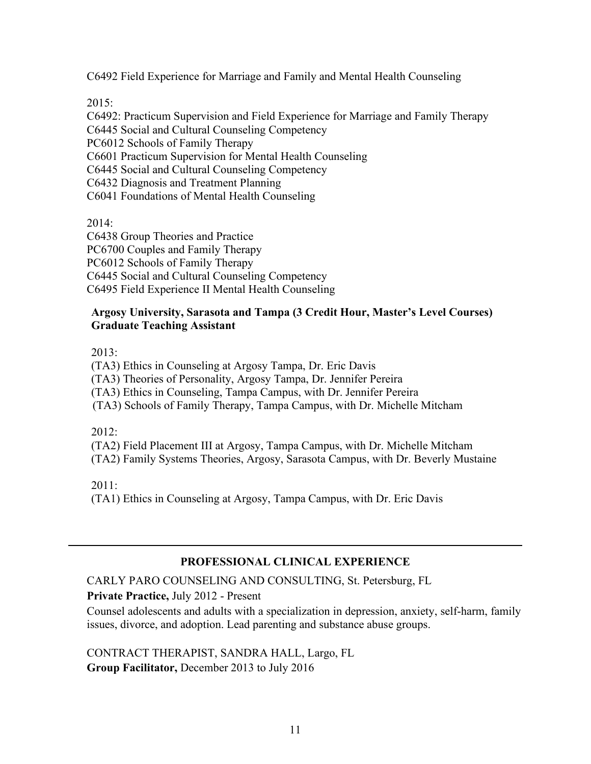C6492 Field Experience for Marriage and Family and Mental Health Counseling

2015:

C6492: Practicum Supervision and Field Experience for Marriage and Family Therapy C6445 Social and Cultural Counseling Competency PC6012 Schools of Family Therapy C6601 Practicum Supervision for Mental Health Counseling C6445 Social and Cultural Counseling Competency C6432 Diagnosis and Treatment Planning C6041 Foundations of Mental Health Counseling

2014:

C6438 Group Theories and Practice PC6700 Couples and Family Therapy PC6012 Schools of Family Therapy C6445 Social and Cultural Counseling Competency C6495 Field Experience II Mental Health Counseling

#### **Argosy University, Sarasota and Tampa (3 Credit Hour, Master's Level Courses) Graduate Teaching Assistant**

2013:

(TA3) Ethics in Counseling at Argosy Tampa, Dr. Eric Davis

(TA3) Theories of Personality, Argosy Tampa, Dr. Jennifer Pereira

(TA3) Ethics in Counseling, Tampa Campus, with Dr. Jennifer Pereira

(TA3) Schools of Family Therapy, Tampa Campus, with Dr. Michelle Mitcham

2012:

(TA2) Field Placement III at Argosy, Tampa Campus, with Dr. Michelle Mitcham

(TA2) Family Systems Theories, Argosy, Sarasota Campus, with Dr. Beverly Mustaine

2011:

(TA1) Ethics in Counseling at Argosy, Tampa Campus, with Dr. Eric Davis

## **PROFESSIONAL CLINICAL EXPERIENCE**

CARLY PARO COUNSELING AND CONSULTING, St. Petersburg, FL

**Private Practice,** July 2012 - Present

Counsel adolescents and adults with a specialization in depression, anxiety, self-harm, family issues, divorce, and adoption. Lead parenting and substance abuse groups.

CONTRACT THERAPIST, SANDRA HALL, Largo, FL **Group Facilitator,** December 2013 to July 2016